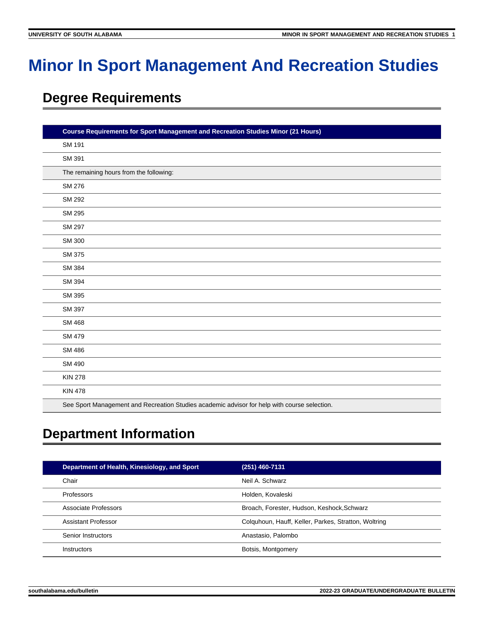# **Minor In Sport Management And Recreation Studies**

# **Degree Requirements**

| <b>Course Requirements for Sport Management and Recreation Studies Minor (21 Hours)</b>      |  |
|----------------------------------------------------------------------------------------------|--|
| <b>SM 191</b>                                                                                |  |
| SM 391                                                                                       |  |
| The remaining hours from the following:                                                      |  |
| <b>SM 276</b>                                                                                |  |
| <b>SM 292</b>                                                                                |  |
| <b>SM 295</b>                                                                                |  |
| <b>SM 297</b>                                                                                |  |
| <b>SM 300</b>                                                                                |  |
| SM 375                                                                                       |  |
| <b>SM 384</b>                                                                                |  |
| SM 394                                                                                       |  |
| SM 395                                                                                       |  |
| SM 397                                                                                       |  |
| <b>SM 468</b>                                                                                |  |
| <b>SM 479</b>                                                                                |  |
| <b>SM 486</b>                                                                                |  |
| <b>SM 490</b>                                                                                |  |
| <b>KIN 278</b>                                                                               |  |
| <b>KIN 478</b>                                                                               |  |
| See Sport Management and Recreation Studies academic advisor for help with course selection. |  |

# **Department Information**

| Department of Health, Kinesiology, and Sport | (251) 460-7131                                       |
|----------------------------------------------|------------------------------------------------------|
| Chair                                        | Neil A. Schwarz                                      |
| Professors                                   | Holden, Kovaleski                                    |
| Associate Professors                         | Broach, Forester, Hudson, Keshock, Schwarz           |
| Assistant Professor                          | Colquhoun, Hauff, Keller, Parkes, Stratton, Woltring |
| Senior Instructors                           | Anastasio, Palombo                                   |
| Instructors                                  | Botsis, Montgomery                                   |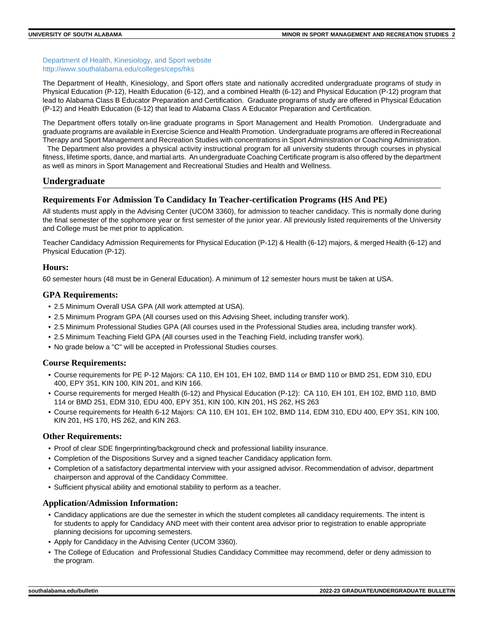[Department of Health, Kinesiology, and Sport website](https://www.southalabama.edu/colleges/ceps/hks) [http://www.southalabama.edu/colleges/ceps/hks](https://www.southalabama.edu/colleges/ceps/hks)

The Department of Health, Kinesiology, and Sport offers state and nationally accredited undergraduate programs of study in Physical Education (P-12), Health Education (6-12), and a combined Health (6-12) and Physical Education (P-12) program that lead to Alabama Class B Educator Preparation and Certification. Graduate programs of study are offered in Physical Education (P-12) and Health Education (6-12) that lead to Alabama Class A Educator Preparation and Certification.

The Department offers totally on-line graduate programs in Sport Management and Health Promotion. Undergraduate and graduate programs are available in Exercise Science and Health Promotion. Undergraduate programs are offered in Recreational Therapy and Sport Management and Recreation Studies with concentrations in Sport Administration or Coaching Administration.

 The Department also provides a physical activity instructional program for all university students through courses in physical fitness, lifetime sports, dance, and martial arts. An undergraduate Coaching Certificate program is also offered by the department as well as minors in Sport Management and Recreational Studies and Health and Wellness.

## **Undergraduate**

## **Requirements For Admission To Candidacy In Teacher-certification Programs (HS And PE)**

All students must apply in the Advising Center (UCOM 3360), for admission to teacher candidacy. This is normally done during the final semester of the sophomore year or first semester of the junior year. All previously listed requirements of the University and College must be met prior to application.

Teacher Candidacy Admission Requirements for Physical Education (P-12) & Health (6-12) majors, & merged Health (6-12) and Physical Education (P-12).

#### **Hours:**

60 semester hours (48 must be in General Education). A minimum of 12 semester hours must be taken at USA.

#### **GPA Requirements:**

- 2.5 Minimum Overall USA GPA (All work attempted at USA).
- 2.5 Minimum Program GPA (All courses used on this Advising Sheet, including transfer work).
- 2.5 Minimum Professional Studies GPA (All courses used in the Professional Studies area, including transfer work).
- 2.5 Minimum Teaching Field GPA (All courses used in the Teaching Field, including transfer work).
- No grade below a "C" will be accepted in Professional Studies courses.

#### **Course Requirements:**

- Course requirements for PE P-12 Majors: CA 110, EH 101, EH 102, BMD 114 or BMD 110 or BMD 251, EDM 310, EDU 400, EPY 351, KIN 100, KIN 201, and KIN 166.
- Course requirements for merged Health (6-12) and Physical Education (P-12): CA 110, EH 101, EH 102, BMD 110, BMD 114 or BMD 251, EDM 310, EDU 400, EPY 351, KIN 100, KIN 201, HS 262, HS 263
- Course requirements for Health 6-12 Majors: CA 110, EH 101, EH 102, BMD 114, EDM 310, EDU 400, EPY 351, KIN 100, KIN 201, HS 170, HS 262, and KIN 263.

#### **Other Requirements:**

- Proof of clear SDE fingerprinting/background check and professional liability insurance.
- Completion of the Dispositions Survey and a signed teacher Candidacy application form.
- Completion of a satisfactory departmental interview with your assigned advisor. Recommendation of advisor, department chairperson and approval of the Candidacy Committee.
- Sufficient physical ability and emotional stability to perform as a teacher.

#### **Application/Admission Information:**

- Candidacy applications are due the semester in which the student completes all candidacy requirements. The intent is for students to apply for Candidacy AND meet with their content area advisor prior to registration to enable appropriate planning decisions for upcoming semesters.
- Apply for Candidacy in the Advising Center (UCOM 3360).
- The College of Education and Professional Studies Candidacy Committee may recommend, defer or deny admission to the program.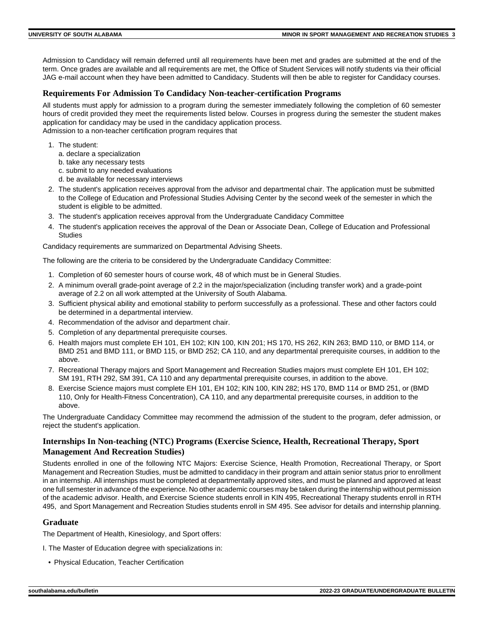Admission to Candidacy will remain deferred until all requirements have been met and grades are submitted at the end of the term. Once grades are available and all requirements are met, the Office of Student Services will notify students via their official JAG e-mail account when they have been admitted to Candidacy. Students will then be able to register for Candidacy courses.

#### **Requirements For Admission To Candidacy Non-teacher-certification Programs**

All students must apply for admission to a program during the semester immediately following the completion of 60 semester hours of credit provided they meet the requirements listed below. Courses in progress during the semester the student makes application for candidacy may be used in the candidacy application process. Admission to a non-teacher certification program requires that

- 1. The student:
	- a. declare a specialization
	- b. take any necessary tests
	- c. submit to any needed evaluations
	- d. be available for necessary interviews
- 2. The student's application receives approval from the advisor and departmental chair. The application must be submitted to the College of Education and Professional Studies Advising Center by the second week of the semester in which the student is eligible to be admitted.
- 3. The student's application receives approval from the Undergraduate Candidacy Committee
- 4. The student's application receives the approval of the Dean or Associate Dean, College of Education and Professional Studies

Candidacy requirements are summarized on Departmental Advising Sheets.

The following are the criteria to be considered by the Undergraduate Candidacy Committee:

- 1. Completion of 60 semester hours of course work, 48 of which must be in General Studies.
- 2. A minimum overall grade-point average of 2.2 in the major/specialization (including transfer work) and a grade-point average of 2.2 on all work attempted at the University of South Alabama.
- 3. Sufficient physical ability and emotional stability to perform successfully as a professional. These and other factors could be determined in a departmental interview.
- 4. Recommendation of the advisor and department chair.
- 5. Completion of any departmental prerequisite courses.
- 6. Health majors must complete EH 101, EH 102; KIN 100, KIN 201; HS 170, HS 262, KIN 263; BMD 110, or BMD 114, or BMD 251 and BMD 111, or BMD 115, or BMD 252; CA 110, and any departmental prerequisite courses, in addition to the above.
- 7. Recreational Therapy majors and Sport Management and Recreation Studies majors must complete EH 101, EH 102; SM 191, RTH 292, SM 391, CA 110 and any departmental prerequisite courses, in addition to the above.
- 8. Exercise Science majors must complete EH 101, EH 102; KIN 100, KIN 282; HS 170, BMD 114 or BMD 251, or (BMD 110, Only for Health-Fitness Concentration), CA 110, and any departmental prerequisite courses, in addition to the above.

The Undergraduate Candidacy Committee may recommend the admission of the student to the program, defer admission, or reject the student's application.

## **Internships In Non-teaching (NTC) Programs (Exercise Science, Health, Recreational Therapy, Sport Management And Recreation Studies)**

Students enrolled in one of the following NTC Majors: Exercise Science, Health Promotion, Recreational Therapy, or Sport Management and Recreation Studies, must be admitted to candidacy in their program and attain senior status prior to enrollment in an internship. All internships must be completed at departmentally approved sites, and must be planned and approved at least one full semester in advance of the experience. No other academic courses may be taken during the internship without permission of the academic advisor. Health, and Exercise Science students enroll in KIN 495, Recreational Therapy students enroll in RTH 495, and Sport Management and Recreation Studies students enroll in SM 495. See advisor for details and internship planning.

#### **Graduate**

The Department of Health, Kinesiology, and Sport offers:

- I. The Master of Education degree with specializations in:
- Physical Education, Teacher Certification